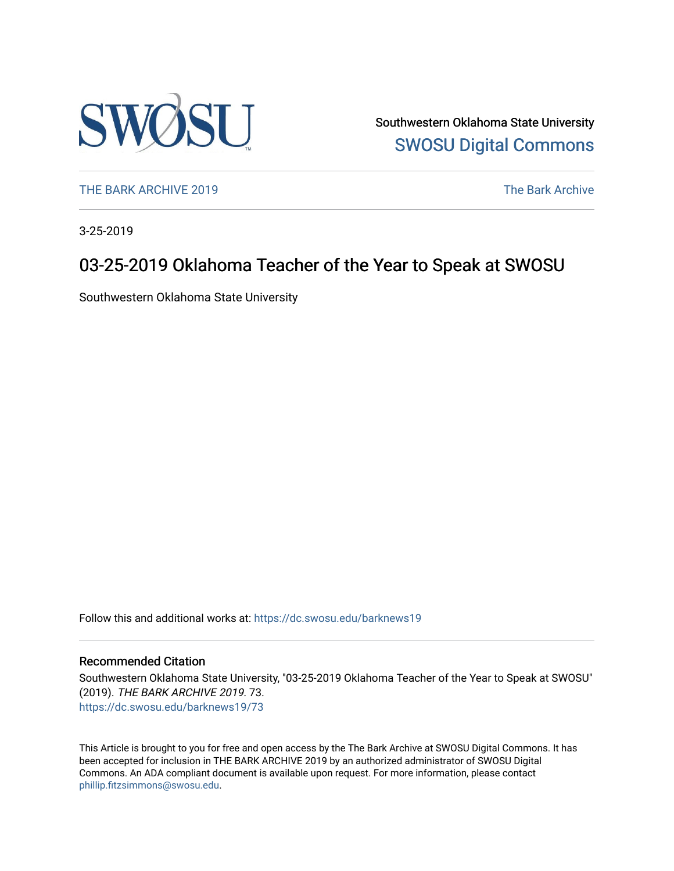

Southwestern Oklahoma State University [SWOSU Digital Commons](https://dc.swosu.edu/) 

[THE BARK ARCHIVE 2019](https://dc.swosu.edu/barknews19) The Bark Archive

3-25-2019

# 03-25-2019 Oklahoma Teacher of the Year to Speak at SWOSU

Southwestern Oklahoma State University

Follow this and additional works at: [https://dc.swosu.edu/barknews19](https://dc.swosu.edu/barknews19?utm_source=dc.swosu.edu%2Fbarknews19%2F73&utm_medium=PDF&utm_campaign=PDFCoverPages)

#### Recommended Citation

Southwestern Oklahoma State University, "03-25-2019 Oklahoma Teacher of the Year to Speak at SWOSU" (2019). THE BARK ARCHIVE 2019. 73. [https://dc.swosu.edu/barknews19/73](https://dc.swosu.edu/barknews19/73?utm_source=dc.swosu.edu%2Fbarknews19%2F73&utm_medium=PDF&utm_campaign=PDFCoverPages) 

This Article is brought to you for free and open access by the The Bark Archive at SWOSU Digital Commons. It has been accepted for inclusion in THE BARK ARCHIVE 2019 by an authorized administrator of SWOSU Digital Commons. An ADA compliant document is available upon request. For more information, please contact [phillip.fitzsimmons@swosu.edu](mailto:phillip.fitzsimmons@swosu.edu).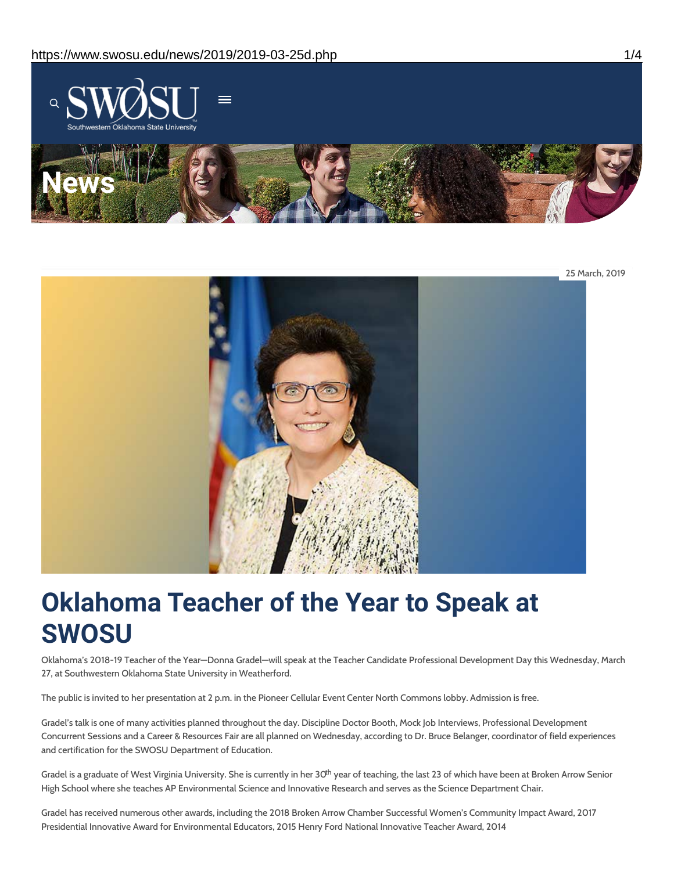



# **Oklahoma Teacher of the Year to Speak at SWOSU**

Oklahoma's 2018-19 Teacher of the Year—Donna Gradel—will speak at the Teacher Candidate Professional Development Day this Wednesday, March 27, at Southwestern Oklahoma State University in Weatherford.

The public is invited to her presentation at 2 p.m. in the Pioneer Cellular Event Center North Commons lobby. Admission is free.

Gradel's talk is one of many activities planned throughout the day. Discipline Doctor Booth, Mock Job Interviews, Professional Development Concurrent Sessions and a Career & Resources Fair are all planned on Wednesday, according to Dr. Bruce Belanger, coordinator of field experiences and certification for the SWOSU Department of Education.

Gradel is a graduate of West Virginia University. She is currently in her 30<sup>th</sup> year of teaching, the last 23 of which have been at Broken Arrow Senior High School where she teaches AP Environmental Science and Innovative Research and serves as the Science Department Chair.

Gradel has received numerous other awards, including the 2018 Broken Arrow Chamber Successful Women's Community Impact Award, 2017 Presidential Innovative Award for Environmental Educators, 2015 Henry Ford National Innovative Teacher Award, 2014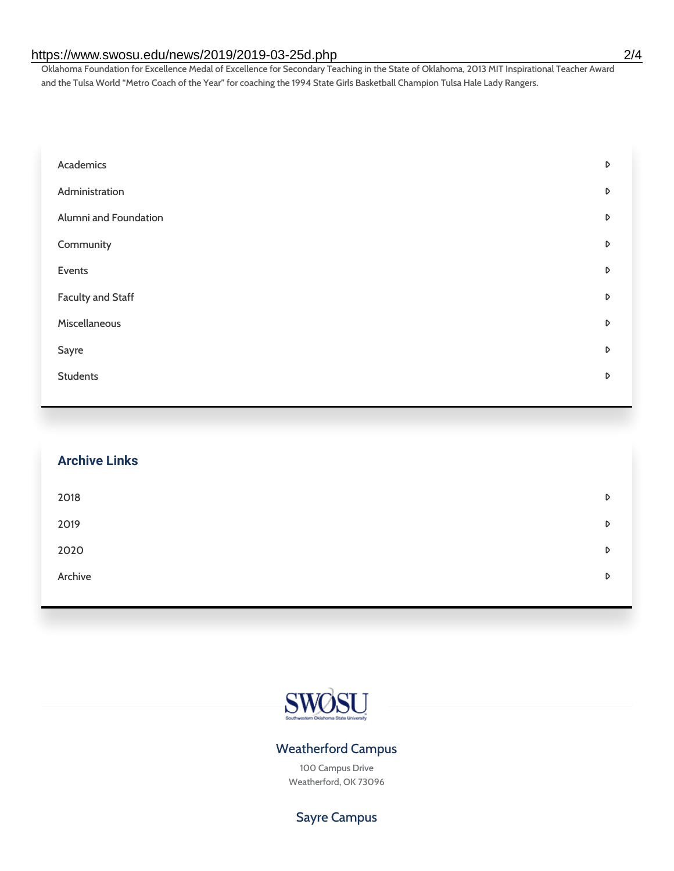#### https://www.swosu.edu/news/2019/2019-03-25d.php 2/4

Oklahoma Foundation for Excellence Medal of Excellence for Secondary Teaching in the State of Oklahoma, 2013 MIT Inspirational Teacher Award and the Tulsa World "Metro Coach of the Year" for coaching the 1994 State Girls Basketball Champion Tulsa Hale Lady Rangers.

| Academics                | D |
|--------------------------|---|
| Administration           | D |
| Alumni and Foundation    | D |
| Community                | D |
| Events                   | D |
| <b>Faculty and Staff</b> | D |
| Miscellaneous            | D |
| Sayre                    | D |
| <b>Students</b>          | D |

| <b>Archive Links</b> |   |
|----------------------|---|
| 2018                 | D |
| 2019                 | D |
| 2020                 | D |
| Archive              | D |



### Weatherford Campus

100 Campus Drive Weatherford, OK 73096

## Sayre Campus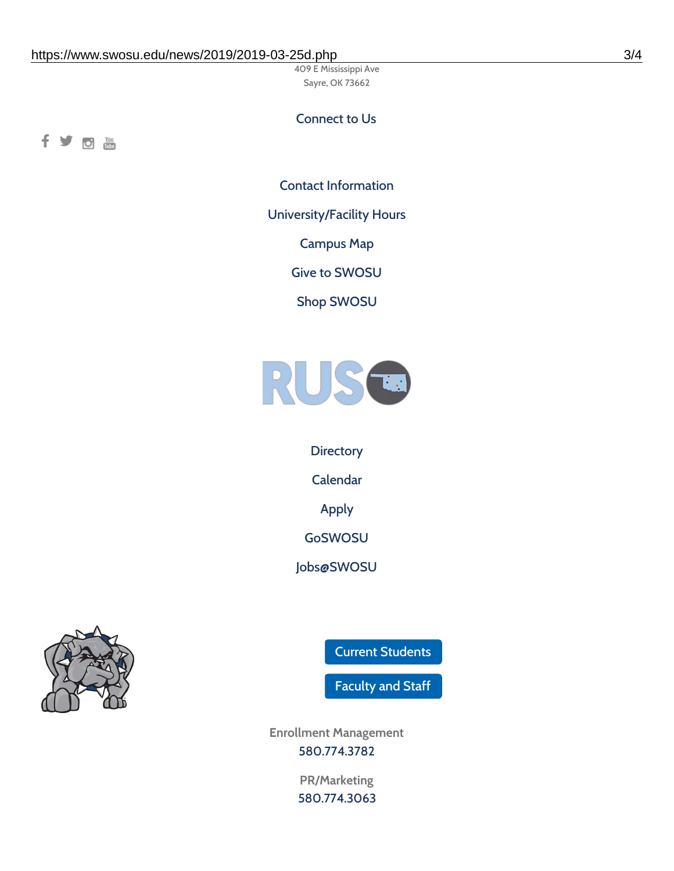409 E Mississippi Ave Sayre, OK 73662

#### Connect to Us

fyom

Contact [Information](https://www.swosu.edu/about/contact.php)

[University/Facility](https://www.swosu.edu/about/operating-hours.php) Hours

[Campus](https://map.concept3d.com/?id=768#!ct/10964,10214,10213,10212,10205,10204,10203,10202,10136,10129,10128,0,31226,10130,10201,10641,0) Map

Give to [SWOSU](https://standingfirmly.com/donate)

Shop [SWOSU](https://shopswosu.merchorders.com/)



**[Directory](https://www.swosu.edu/directory/index.php)** [Calendar](https://eventpublisher.dudesolutions.com/swosu/) [Apply](https://www.swosu.edu/admissions/apply-to-swosu.php) [GoSWOSU](https://qlsso.quicklaunchsso.com/home/1267) [Jobs@SWOSU](https://swosu.csod.com/ux/ats/careersite/1/home?c=swosu)



Current [Students](https://bulldog.swosu.edu/index.php)

[Faculty](https://bulldog.swosu.edu/faculty-staff/index.php) and Staff

**Enrollment Management** [580.774.3782](tel:5807743782)

> **PR/Marketing** [580.774.3063](tel:5807743063)